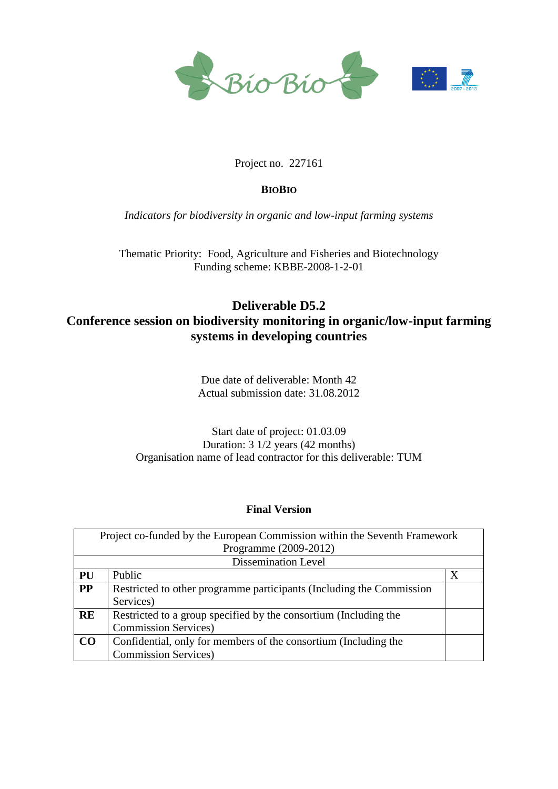

### Project no. 227161

### **BIOBIO**

*Indicators for biodiversity in organic and low-input farming systems*

Thematic Priority: Food, Agriculture and Fisheries and Biotechnology Funding scheme: KBBE-2008-1-2-01

# **Deliverable D5.2 Conference session on biodiversity monitoring in organic/low-input farming systems in developing countries**

Due date of deliverable: Month 42 Actual submission date: 31.08.2012

Start date of project: 01.03.09 Duration: 3 1/2 years (42 months) Organisation name of lead contractor for this deliverable: TUM

### **Final Version**

| Project co-funded by the European Commission within the Seventh Framework |                                                                      |   |
|---------------------------------------------------------------------------|----------------------------------------------------------------------|---|
| Programme (2009-2012)                                                     |                                                                      |   |
| Dissemination Level                                                       |                                                                      |   |
| PU                                                                        | Public                                                               | X |
| <b>PP</b>                                                                 | Restricted to other programme participants (Including the Commission |   |
|                                                                           | Services)                                                            |   |
| <b>RE</b>                                                                 | Restricted to a group specified by the consortium (Including the     |   |
|                                                                           | <b>Commission Services</b> )                                         |   |
| CO                                                                        | Confidential, only for members of the consortium (Including the      |   |
|                                                                           | <b>Commission Services</b> )                                         |   |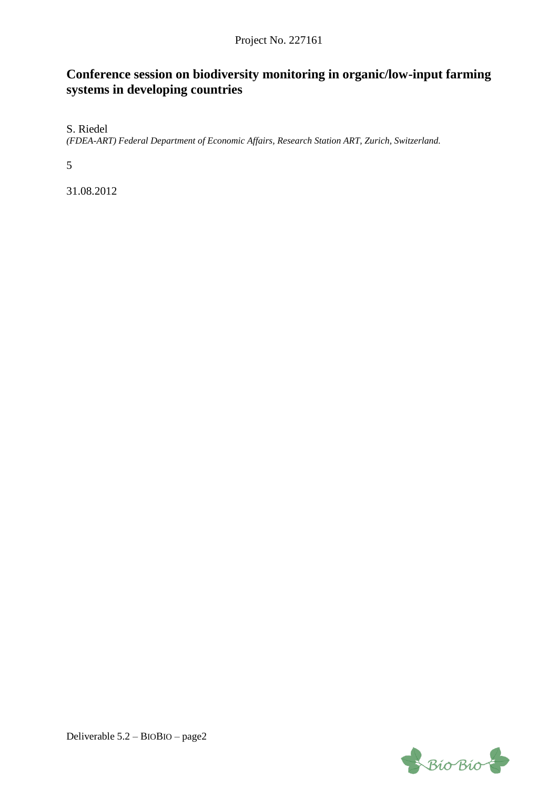## Project No. 227161

# **Conference session on biodiversity monitoring in organic/low-input farming systems in developing countries**

S. Riedel

*(FDEA-ART) Federal Department of Economic Affairs, Research Station ART, Zurich, Switzerland.*

5

31.08.2012

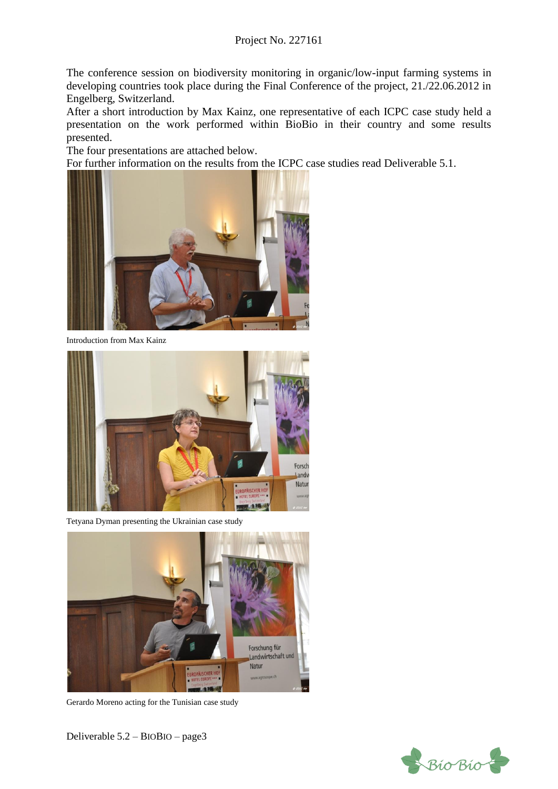### Project No. 227161

The conference session on biodiversity monitoring in organic/low-input farming systems in developing countries took place during the Final Conference of the project, 21./22.06.2012 in Engelberg, Switzerland.

After a short introduction by Max Kainz, one representative of each ICPC case study held a presentation on the work performed within BioBio in their country and some results presented.

The four presentations are attached below.

For further information on the results from the ICPC case studies read Deliverable 5.1.



Introduction from Max Kainz



Tetyana Dyman presenting the Ukrainian case study



Gerardo Moreno acting for the Tunisian case study

Deliverable 5.2 – BIOBIO – page3